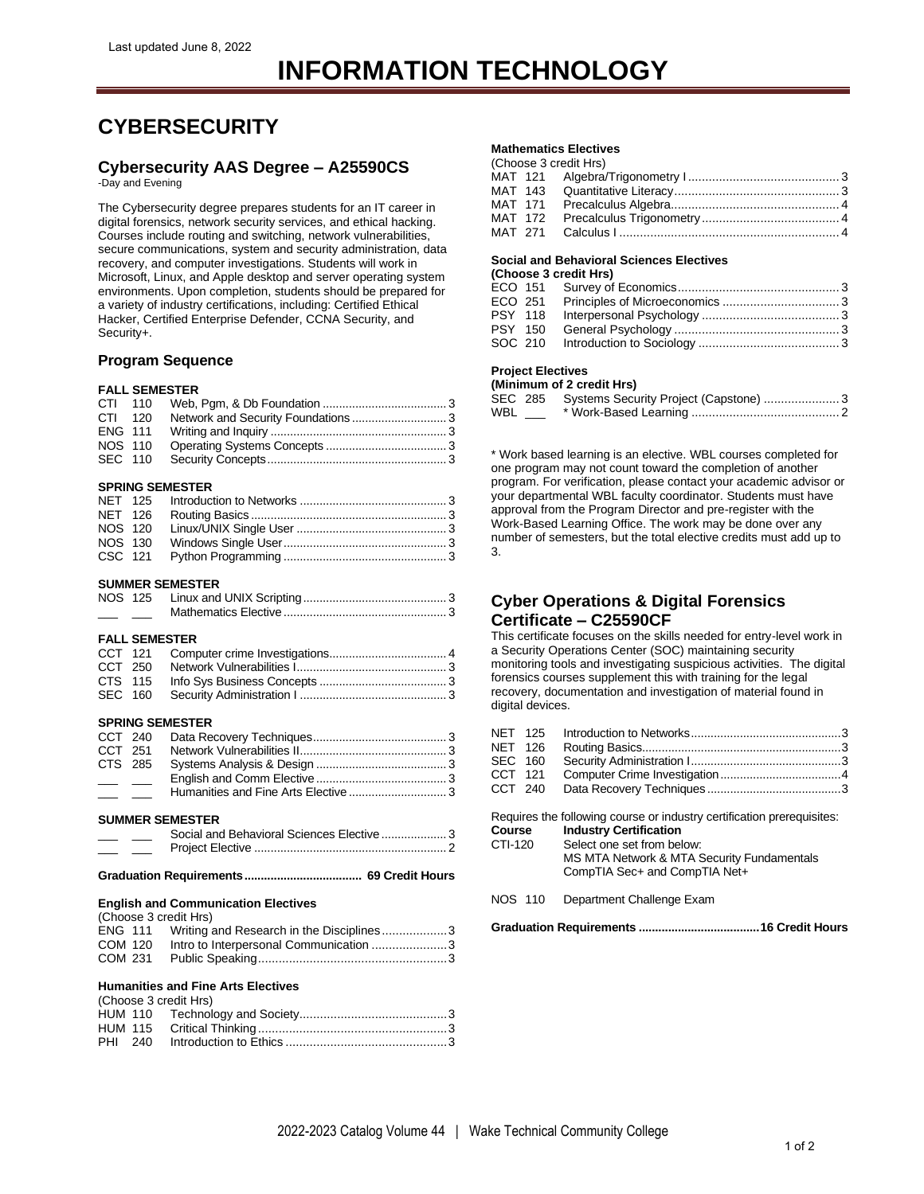# **INFORMATION TECHNOLOGY**

## **CYBERSECURITY**

## **Cybersecurity AAS Degree – A25590CS**

-Day and Evening

The Cybersecurity degree prepares students for an IT career in digital forensics, network security services, and ethical hacking. Courses include routing and switching, network vulnerabilities, secure communications, system and security administration, data recovery, and computer investigations. Students will work in Microsoft, Linux, and Apple desktop and server operating system environments. Upon completion, students should be prepared for a variety of industry certifications, including: Certified Ethical Hacker, Certified Enterprise Defender, CCNA Security, and Security+.

#### **Program Sequence**

#### **FALL SEMESTER**

| CTI 120        |  |  |
|----------------|--|--|
| <b>ENG 111</b> |  |  |
| <b>NOS 110</b> |  |  |
| SEC 110        |  |  |

#### **SPRING SEMESTER**

#### **SUMMER SEMESTER**

#### **FALL SEMESTER**

#### **SPRING SEMESTER**

| CCT 251                  |         |  |
|--------------------------|---------|--|
|                          | CTS 285 |  |
| <b>Contract Contract</b> |         |  |
|                          |         |  |

#### **SUMMER SEMESTER**

|  | Social and Behavioral Sciences Elective  3 |  |
|--|--------------------------------------------|--|
|  |                                            |  |
|  |                                            |  |

#### **Graduation Requirements.................................... 69 Credit Hours**

#### **English and Communication Electives**

(Choose 3 credit Hrs)<br>ENG 111 Writing a ENG 111 Writing and Research in the Disciplines ....................3<br>COM 120 Intro to Interpersonal Communication ......................3 Intro to Interpersonal Communication ......................3 COM 231 Public Speaking.......................................................3

#### **Humanities and Fine Arts Electives**

|  | (Choose 3 credit Hrs) |  |
|--|-----------------------|--|
|  |                       |  |
|  |                       |  |
|  |                       |  |

#### **Mathematics Electives**

|  | (Choose 3 credit Hrs) |  |
|--|-----------------------|--|
|  |                       |  |
|  |                       |  |
|  |                       |  |
|  |                       |  |
|  |                       |  |

## **Social and Behavioral Sciences Electives**

#### **(Choose 3 credit Hrs)** ECO 151 Survey of Economics............................................... 3 ECO 251 Principles of Microeconomics .................................. 3 PSY 118 Interpersonal Psychology ........................................ 3 PSY 150 General Psychology ................................................ 3

#### **Project Electives**

#### **(Minimum of 2 credit Hrs)**

| SEC 285 | Systems Security Project (Capstone)  3 |  |
|---------|----------------------------------------|--|
| WBL     |                                        |  |

SOC 210 Introduction to Sociology ......................................... 3

\* Work based learning is an elective. WBL courses completed for one program may not count toward the completion of another program. For verification, please contact your academic advisor or your departmental WBL faculty coordinator. Students must have approval from the Program Director and pre-register with the Work-Based Learning Office. The work may be done over any number of semesters, but the total elective credits must add up to 3.

### **Cyber Operations & Digital Forensics Certificate – C25590CF**

This certificate focuses on the skills needed for entry-level work in a Security Operations Center (SOC) maintaining security monitoring tools and investigating suspicious activities. The digital forensics courses supplement this with training for the legal recovery, documentation and investigation of material found in digital devices.

| NFT 125                  |                                                                                                                                                                                                                      |  |
|--------------------------|----------------------------------------------------------------------------------------------------------------------------------------------------------------------------------------------------------------------|--|
| <b>NET 126</b>           |                                                                                                                                                                                                                      |  |
| SEC 160                  |                                                                                                                                                                                                                      |  |
| CCT 121                  |                                                                                                                                                                                                                      |  |
| CCT 240                  |                                                                                                                                                                                                                      |  |
| <b>Course</b><br>CTI-120 | Requires the following course or industry certification prerequisites:<br><b>Industry Certification</b><br>Select one set from below:<br>MS MTA Network & MTA Security Fundamentals<br>CompTIA Sec+ and CompTIA Net+ |  |
| <b>NOS 110</b>           | Department Challenge Exam                                                                                                                                                                                            |  |
|                          |                                                                                                                                                                                                                      |  |